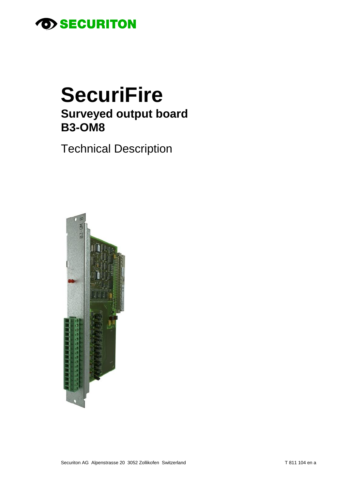

# **SecuriFire Surveyed output board B3-OM8**

**Technical Description** 

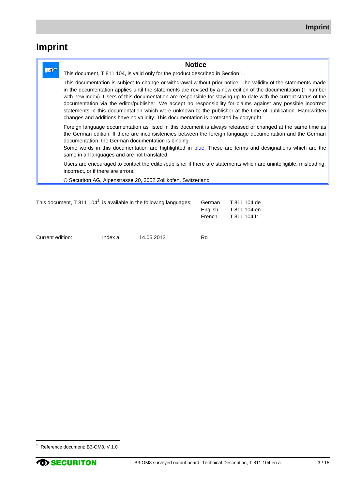# **Imprint**

|     | <b>Notice</b>                                                                                                                                                                                                                                                                                                                                                                                                                                                                                                                                                                                                                                                                    |  |
|-----|----------------------------------------------------------------------------------------------------------------------------------------------------------------------------------------------------------------------------------------------------------------------------------------------------------------------------------------------------------------------------------------------------------------------------------------------------------------------------------------------------------------------------------------------------------------------------------------------------------------------------------------------------------------------------------|--|
| 1.2 | This document, T 811 104, is valid only for the product described in Section 1.                                                                                                                                                                                                                                                                                                                                                                                                                                                                                                                                                                                                  |  |
|     | This documentation is subject to change or withdrawal without prior notice. The validity of the statements made<br>in the documentation applies until the statements are revised by a new edition of the documentation (T number<br>with new index). Users of this documentation are responsible for staying up-to-date with the current status of the<br>documentation via the editor/publisher. We accept no responsibility for claims against any possible incorrect<br>statements in this documentation which were unknown to the publisher at the time of publication. Handwritten<br>changes and additions have no validity. This documentation is protected by copyright. |  |
|     | Foreign language documentation as listed in this document is always released or changed at the same time as<br>the German edition. If there are inconsistencies between the foreign language documentation and the German<br>documentation, the German documentation is binding.<br>Some words in this documentation are highlighted in blue. These are terms and designations which are the<br>same in all languages and are not translated.                                                                                                                                                                                                                                    |  |
|     | Users are encouraged to contact the editor/publisher if there are statements which are unintelligible, misleading,<br>incorrect, or if there are errors.                                                                                                                                                                                                                                                                                                                                                                                                                                                                                                                         |  |
|     | © Securiton AG, Alpenstrasse 20, 3052 Zollikofen, Switzerland                                                                                                                                                                                                                                                                                                                                                                                                                                                                                                                                                                                                                    |  |
|     |                                                                                                                                                                                                                                                                                                                                                                                                                                                                                                                                                                                                                                                                                  |  |

| This document, T 811 104 <sup>1</sup> , is available in the following languages: | German  | T 811 104 de |
|----------------------------------------------------------------------------------|---------|--------------|
|                                                                                  | Enalish | T 811 104 en |
|                                                                                  | French  | T 811 104 fr |
|                                                                                  |         |              |
|                                                                                  |         |              |

| Current edition: | Index a | 14.05.2013 | Rd |
|------------------|---------|------------|----|
|------------------|---------|------------|----|

 $\overline{a}$ 

<sup>&</sup>lt;sup>1</sup> Reference document: B3-OM8, V 1.0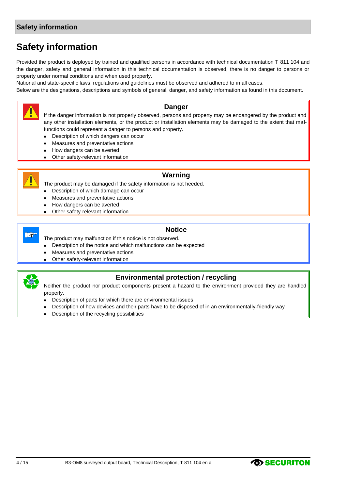#### **Safety information**

### **Safety information**

Provided the product is deployed by trained and qualified persons in accordance with technical documentation T 811 104 and the danger, safety and general information in this technical documentation is observed, there is no danger to persons or property under normal conditions and when used properly.

National and state-specific laws, regulations and guidelines must be observed and adhered to in all cases.

Below are the designations, descriptions and symbols of general, danger, and safety information as found in this document.



#### **Danger**

If the danger information is not properly observed, persons and property may be endangered by the product and any other installation elements, or the product or installation elements may be damaged to the extent that malfunctions could represent a danger to persons and property.

- Description of which dangers can occur  $\bullet$
- Measures and preventative actions
- How dangers can be averted
- Other safety-relevant information  $\bullet$



#### **Warning**

The product may be damaged if the safety information is not heeded.

- Description of which damage can occur
- Measures and preventative actions
- How dangers can be averted
- Other safety-relevant information



#### **Notice**

The product may malfunction if this notice is not observed.

- Description of the notice and which malfunctions can be expected  $\bullet$
- Measures and preventative actions
- Other safety-relevant information  $\bullet$



#### **Environmental protection / recycling**

Neither the product nor product components present a hazard to the environment provided they are handled properly.

- Description of parts for which there are environmental issues
- Description of how devices and their parts have to be disposed of in an environmentally-friendly way
- Description of the recycling possibilities $\bullet$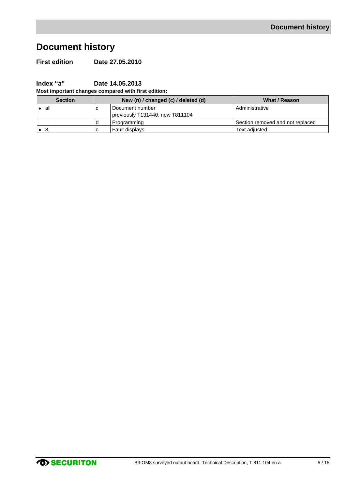# **Document history**

**First edition Date 27.05.2010**

**Index "a" Date 14.05.2013**

**Most important changes compared with first edition:**

| <b>Section</b> | New (n) / changed (c) / deleted (d) | What / Reason                    |
|----------------|-------------------------------------|----------------------------------|
| all            | Document number                     | Administrative                   |
|                | previously T131440, new T811104     |                                  |
|                | Programming                         | Section removed and not replaced |
|                | Fault displays                      | Text adiusted                    |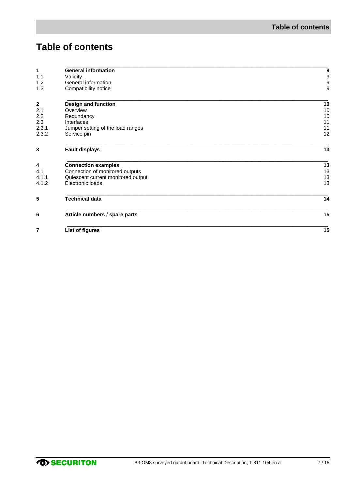# **Table of contents**

| 1                | <b>General information</b>         | 9                                     |
|------------------|------------------------------------|---------------------------------------|
| 1.1              | Validity                           |                                       |
| 1.2              | General information                | $\begin{array}{c} 9 \\ 9 \end{array}$ |
| 1.3              | Compatibility notice               | 9                                     |
| $\boldsymbol{2}$ | Design and function                | 10                                    |
| 2.1              | Overview                           | 10                                    |
| 2.2              | Redundancy                         | 10                                    |
| 2.3              | Interfaces                         | 11                                    |
| 2.3.1            | Jumper setting of the load ranges  | 11                                    |
| 2.3.2            | Service pin                        | 12                                    |
| 3                | <b>Fault displays</b>              | 13                                    |
| 4                | <b>Connection examples</b>         | 13                                    |
| 4.1              | Connection of monitored outputs    | 13                                    |
| 4.1.1            | Quiescent current monitored output | 13                                    |
| 4.1.2            | Electronic loads                   | 13                                    |
| 5                | <b>Technical data</b>              | 14                                    |
| 6                | Article numbers / spare parts      | 15                                    |
| 7                | List of figures                    | 15                                    |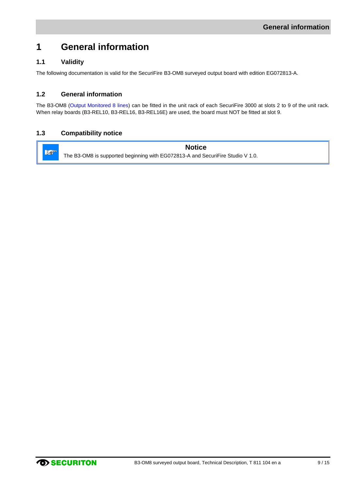### <span id="page-8-0"></span>**1 General information**

#### <span id="page-8-1"></span>**1.1 Validity**

The following documentation is valid for the SecuriFire B3-OM8 surveyed output board with edition EG072813-A.

#### <span id="page-8-2"></span>**1.2 General information**

The B3-OM8 (Output Monitored 8 lines) can be fitted in the unit rack of each SecuriFire 3000 at slots 2 to 9 of the unit rack. When relay boards (B3-REL10, B3-REL16, B3-REL16E) are used, the board must NOT be fitted at slot 9.

#### <span id="page-8-3"></span>**1.3 Compatibility notice**

**Notice** Lo The B3-OM8 is supported beginning with EG072813-A and SecuriFire Studio V 1.0.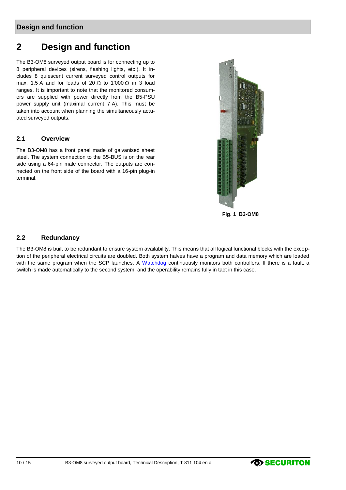#### **Design and function**

### <span id="page-9-0"></span>**2 Design and function**

The B3-OM8 surveyed output board is for connecting up to 8 peripheral devices (sirens, flashing lights, etc.). It includes 8 quiescent current surveyed control outputs for max. 1.5 A and for loads of 20  $\Omega$  to 1'000  $\Omega$  in 3 load ranges. It is important to note that the monitored consumers are supplied with power directly from the B5-PSU power supply unit (maximal current 7 A). This must be taken into account when planning the simultaneously actuated surveyed outputs.

#### <span id="page-9-1"></span>**2.1 Overview**

The B3-OM8 has a front panel made of galvanised sheet steel. The system connection to the B5-BUS is on the rear side using a 64-pin male connector. The outputs are connected on the front side of the board with a 16-pin plug-in terminal.



**Fig. 1 B3-OM8**

#### <span id="page-9-3"></span><span id="page-9-2"></span>**2.2 Redundancy**

The B3-OM8 is built to be redundant to ensure system availability. This means that all logical functional blocks with the exception of the peripheral electrical circuits are doubled. Both system halves have a program and data memory which are loaded with the same program when the SCP launches. A Watchdog continuously monitors both controllers. If there is a fault, a switch is made automatically to the second system, and the operability remains fully in tact in this case.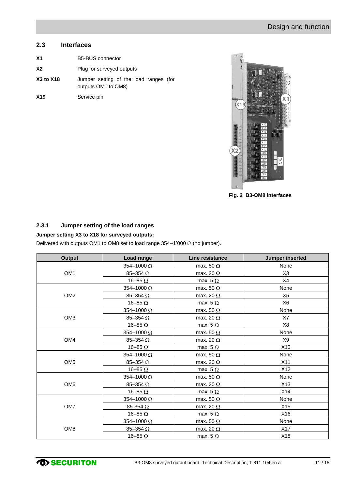#### <span id="page-10-0"></span>**2.3 Interfaces**

| X <sub>1</sub>   | <b>B5-BUS</b> connector                                       |
|------------------|---------------------------------------------------------------|
| X2               | Plug for surveyed outputs                                     |
| <b>X3 to X18</b> | Jumper setting of the load ranges (for<br>outputs OM1 to OM8) |
| X <sub>19</sub>  | Service pin                                                   |

<span id="page-10-2"></span>

**Fig. 2 B3-OM8 interfaces**

#### <span id="page-10-1"></span>**2.3.1 Jumper setting of the load ranges**

#### **Jumper setting X3 to X18 for surveyed outputs:**

Delivered with outputs OM1 to OM8 set to load range  $354-1'000 \Omega$  (no jumper).

| <b>Output</b>   | <b>Load range</b>   | Line resistance  | <b>Jumper inserted</b> |
|-----------------|---------------------|------------------|------------------------|
|                 | 354-1000 Ω          | max. 50 $\Omega$ | None                   |
| OM <sub>1</sub> | 85-354 $\Omega$     | max. 20 $\Omega$ | X3                     |
|                 | 16–85 $\Omega$      | max. $5 \Omega$  | X4                     |
|                 | $354 - 1000 \Omega$ | max. 50 $\Omega$ | None                   |
| OM <sub>2</sub> | $85-354$ $\Omega$   | max. 20 $\Omega$ | X <sub>5</sub>         |
|                 | 16–85 $\Omega$      | max. $5 \Omega$  | X <sub>6</sub>         |
|                 | $354 - 1000 \Omega$ | max. 50 $\Omega$ | None                   |
| OM <sub>3</sub> | $85 - 354$ $\Omega$ | max. 20 $\Omega$ | X7                     |
|                 | 16-85 $\Omega$      | max. $5 \Omega$  | X <sub>8</sub>         |
|                 | 354-1000 Ω          | max. 50 $\Omega$ | None                   |
| OM4             | 85-354 $\Omega$     | max. 20 $\Omega$ | X9                     |
|                 | 16-85 $\Omega$      | max. $5 \Omega$  | X10                    |
|                 | 354-1000 Ω          | max. 50 $\Omega$ | None                   |
| OM <sub>5</sub> | 85-354 $\Omega$     | max. 20 $\Omega$ | X11                    |
|                 | 16-85 $\Omega$      | max. $5 \Omega$  | X12                    |
|                 | 354-1000 Ω          | max. 50 $\Omega$ | None                   |
| OM <sub>6</sub> | 85-354 $\Omega$     | max. 20 $\Omega$ | X13                    |
|                 | 16-85 $\Omega$      | max. $5 \Omega$  | X14                    |
|                 | 354-1000 Ω          | max. 50 $\Omega$ | None                   |
| OM7             | 85-354 $\Omega$     | max. 20 $\Omega$ | X15                    |
|                 | 16-85 $\Omega$      | max. $5 \Omega$  | X16                    |
|                 | 354-1000 Ω          | max. 50 $\Omega$ | None                   |
| OM <sub>8</sub> | 85-354 $\Omega$     | max. 20 $\Omega$ | X17                    |
|                 | 16-85 $\Omega$      | max. $5 \Omega$  | X18                    |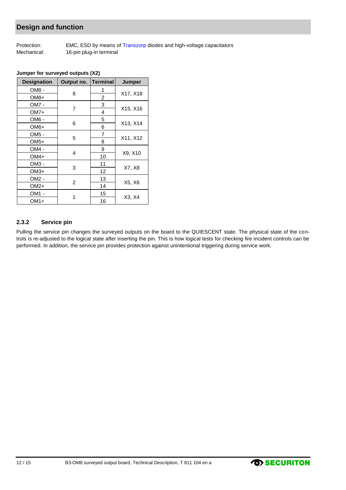#### **Design and function**

Protection: EMC, ESD by means of Transzorp diodes and high-voltage capacitators Mechanical: 16-pin plug-in terminal

| <b>Designation</b> | Output no.     | Terminal       | Jumper   |
|--------------------|----------------|----------------|----------|
| OM8 -              | 8              | 1              |          |
| OM8+               |                | 2              | X17, X18 |
| OM7 -              |                | 3              |          |
| $OM7+$             | 7              | 4              | X15, X16 |
| OM6 -              |                | 5              |          |
| OM <sub>6+</sub>   | 6              | 6              | X13, X14 |
| OM5 -              |                | $\overline{7}$ |          |
| $OM5+$             | 5              | 8              | X11, X12 |
| OM4 -              |                | 9              |          |
| OM4+               | 4              | 10             | X9, X10  |
| OM3 -              |                | 11             |          |
| $OM3+$             | 3              | 12             | X7, X8   |
| OM2 -              | $\overline{c}$ | 13             |          |
| $OM2+$             |                | 14             | X5, X6   |
| OM1 -              |                | 15             |          |
| $OM1+$             | 1              | 16             | X3, X4   |

#### **Jumper for surveyed outputs (X2)**

#### <span id="page-11-0"></span>**2.3.2 Service pin**

Pulling the service pin changes the surveyed outputs on the board to the QUIESCENT state. The physical state of the controls is re-adjusted to the logical state after inserting the pin. This is how logical tests for checking fire incident controls can be performed. In addition, the service pin provides protection against unintentional triggering during service work.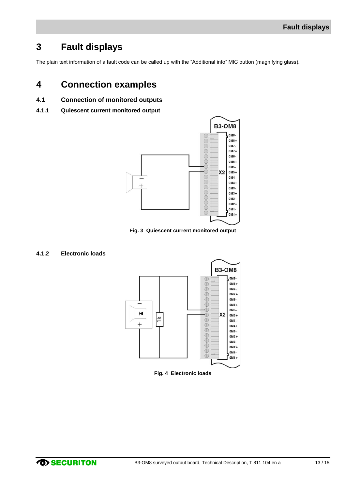### <span id="page-12-0"></span>**3 Fault displays**

The plain text information of a fault code can be called up with the "Additional info" MIC button (magnifying glass).

### <span id="page-12-1"></span>**4 Connection examples**

- <span id="page-12-2"></span>**4.1 Connection of monitored outputs**
- <span id="page-12-3"></span>**4.1.1 Quiescent current monitored output**



**Fig. 3 Quiescent current monitored output**

#### <span id="page-12-6"></span><span id="page-12-5"></span><span id="page-12-4"></span>**4.1.2 Electronic loads**



**Fig. 4 Electronic loads**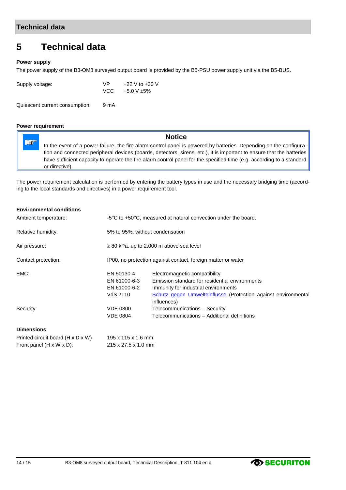### <span id="page-13-0"></span>**5 Technical data**

#### **Power supply**

The power supply of the B3-OM8 surveyed output board is provided by the B5-PSU power supply unit via the B5-BUS.

| \/P  | +22 V to +30 V |
|------|----------------|
| VCC. | +5.0 V ±5%     |
|      |                |

Quiescent current consumption: 9 mA

#### **Power requirement**

 $\mathbb{R}^n$ 

**Notice**

In the event of a power failure, the fire alarm control panel is powered by batteries. Depending on the configuration and connected peripheral devices (boards, detectors, sirens, etc.), it is important to ensure that the batteries have sufficient capacity to operate the fire alarm control panel for the specified time (e.g. according to a standard or directive).

The power requirement calculation is performed by entering the battery types in use and the necessary bridging time (according to the local standards and directives) in a power requirement tool.

#### **Environmental conditions**

| Ambient temperature: | $-5^{\circ}$ C to $+50^{\circ}$ C, measured at natural convection under the board. |                                                                                                                                                                                                          |  |  |
|----------------------|------------------------------------------------------------------------------------|----------------------------------------------------------------------------------------------------------------------------------------------------------------------------------------------------------|--|--|
| Relative humidity:   |                                                                                    | 5% to 95%, without condensation                                                                                                                                                                          |  |  |
| Air pressure:        | $\geq$ 80 kPa, up to 2,000 m above sea level                                       |                                                                                                                                                                                                          |  |  |
| Contact protection:  | IP00, no protection against contact, foreign matter or water                       |                                                                                                                                                                                                          |  |  |
| EMC:                 | EN 50130-4<br>EN 61000-6-3<br>EN 61000-6-2<br>VdS 2110                             | Electromagnetic compatibility<br>Emission standard for residential environments<br>Immunity for industrial environments<br>Schutz gegen Umwelteinflüsse (Protection against environmental<br>influences) |  |  |
| Security:            | <b>VDE 0800</b><br><b>VDE 0804</b>                                                 | Telecommunications - Security<br>Telecommunications - Additional definitions                                                                                                                             |  |  |

#### **Dimensions**

| Printed circuit board (H x D x W)     | 195 x 115 x 1.6 mm  |
|---------------------------------------|---------------------|
| Front panel $(H \times W \times D)$ : | 215 x 27.5 x 1.0 mm |